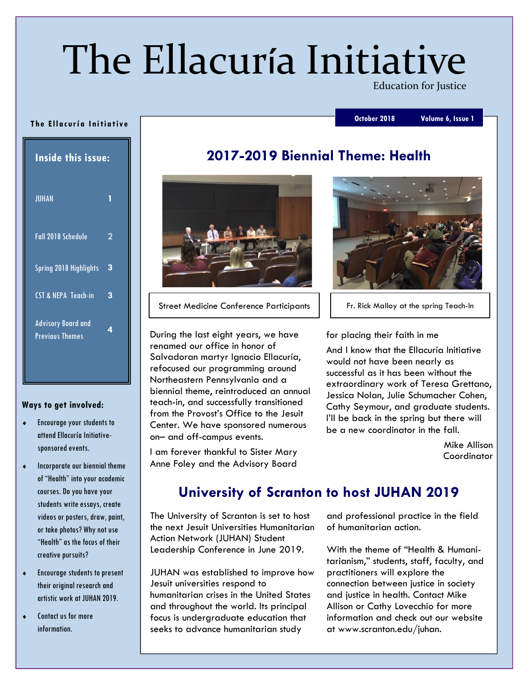# The Ellacuría Initiative

**Education for Justice** 

#### October 2018 Volume 6, Issue 1

#### The Ellacuría Initiative

| <b>Inside this issue:</b>                           |   |
|-----------------------------------------------------|---|
| <b>JUHAN</b>                                        |   |
| Fall 2018 Schedule                                  | 2 |
| <b>Spring 2018 Highlights</b>                       | 3 |
| <b>CST &amp; NEPA Teach-in</b>                      | 3 |
| <b>Advisory Board and</b><br><b>Previous Themes</b> | 4 |

#### Ways to get involved:

- ¨ Encourage your students to attend Ellacuría Initiativesponsored events.
- $\bullet$  Incorporate our biennial theme of "Health" into your academic courses. Do you have your students write essays, create videos or posters, draw, paint, or take photos? Why not use "Health" as the focus of their creative pursuits?
- Encourage students to present their original research and artistic work at JUHAN 2019.
- ◆ Contact us for more information.

# 2017-2019 Biennial Theme: Health



Street Medicine Conference Participants | | Fr. Rick Malloy at the spring Teach-In

During the last eight years, we have renamed our office in honor of Salvadoran martyr Ignacio Ellacuría, refocused our programming around Northeastern Pennsylvania and a biennial theme, reintroduced an annual teach-in, and successfully transitioned from the Provost's Office to the Jesuit Center. We have sponsored numerous on– and off-campus events.

I am forever thankful to Sister Mary Anne Foley and the Advisory Board



#### for placing their faith in me

And I know that the Ellacuría Initiative would not have been nearly as successful as it has been without the extraordinary work of Teresa Grettano, Jessica Nolan, Julie Schumacher Cohen, Cathy Seymour, and graduate students. I'll be back in the spring but there will be a new coordinator in the fall.

> Mike Allison **Coordinator**

# University of Scranton to host JUHAN 2019

The University of Scranton is set to host the next Jesuit Universities Humanitarian Action Network (JUHAN) Student Leadership Conference in June 2019.

JUHAN was established to improve how Jesuit universities respond to humanitarian crises in the United States and throughout the world. Its principal focus is undergraduate education that seeks to advance humanitarian study

and professional practice in the field of humanitarian action.

With the theme of "Health & Humanitarianism," students, staff, faculty, and practitioners will explore the connection between justice in society and justice in health. Contact Mike Allison or Cathy Lovecchio for more information and check out our website at www.scranton.edu/juhan.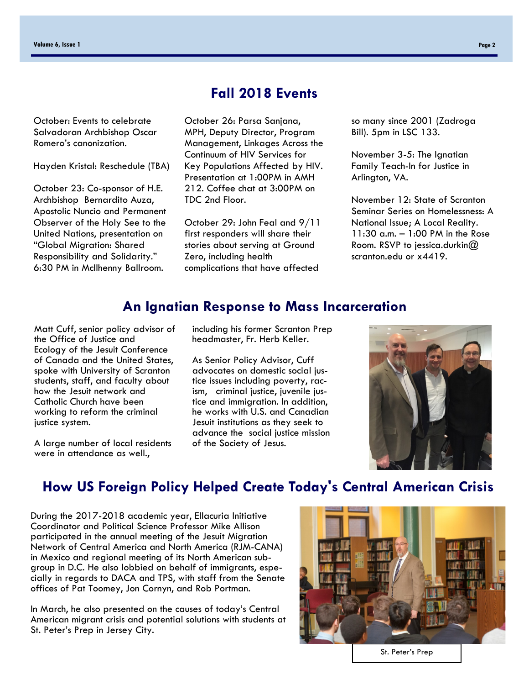October: Events to celebrate Salvadoran Archbishop Oscar Romero's canonization.

Hayden Kristal: Reschedule (TBA)

October 23: Co-sponsor of H.E. Archbishop Bernardito Auza, Apostolic Nuncio and Permanent Observer of the Holy See to the United Nations, presentation on "Global Migration: Shared Responsibility and Solidarity." 6:30 PM in McIlhenny Ballroom.

# Fall 2018 Events

October 26: Parsa Sanjana, MPH, Deputy Director, Program Management, Linkages Across the Continuum of HIV Services for Key Populations Affected by HIV. Presentation at 1:00PM in AMH 212. Coffee chat at 3:00PM on TDC 2nd Floor.

October 29: John Feal and 9/11 first responders will share their stories about serving at Ground Zero, including health complications that have affected

so many since 2001 (Zadroga Bill). 5pm in LSC 133.

November 3-5: The Ignatian Family Teach-In for Justice in Arlington, VA.

November 12: State of Scranton Seminar Series on Homelessness: A National Issue; A Local Reality. 11:30 a.m. – 1:00 PM in the Rose Room. RSVP to jessica.durkin@ scranton.edu or x4419.

## An Ignatian Response to Mass Incarceration

Matt Cuff, senior policy advisor of the Office of Justice and Ecology of the Jesuit Conference of Canada and the United States, spoke with University of Scranton students, staff, and faculty about how the Jesuit network and Catholic Church have been working to reform the criminal justice system.

A large number of local residents were in attendance as well.,

including his former Scranton Prep headmaster, Fr. Herb Keller.

As Senior Policy Advisor, Cuff advocates on domestic social justice issues including poverty, racism, criminal justice, juvenile justice and immigration. In addition, he works with U.S. and Canadian Jesuit institutions as they seek to advance the social justice mission of the Society of Jesus.



# How US Foreign Policy Helped Create Today's Central American Crisis

During the 2017-2018 academic year, Ellacuria Initiative Coordinator and Political Science Professor Mike Allison participated in the annual meeting of the Jesuit Migration Network of Central America and North America (RJM-CANA) in Mexico and regional meeting of its North American subgroup in D.C. He also lobbied on behalf of immigrants, especially in regards to DACA and TPS, with staff from the Senate offices of Pat Toomey, Jon Cornyn, and Rob Portman.

In March, he also presented on the causes of today's Central American migrant crisis and potential solutions with students at St. Peter's Prep in Jersey City.



St. Peter's Prep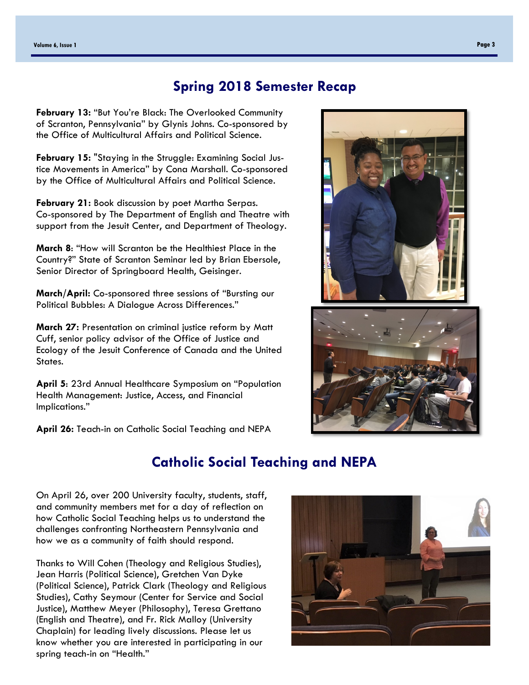# Spring 2018 Semester Recap

February 13: "But You're Black: The Overlooked Community of Scranton, Pennsylvania" by Glynis Johns. Co-sponsored by the Office of Multicultural Affairs and Political Science.

February 15: "Staying in the Struggle: Examining Social Justice Movements in America" by Cona Marshall. Co-sponsored by the Office of Multicultural Affairs and Political Science.

February 21: Book discussion by poet Martha Serpas. Co-sponsored by The Department of English and Theatre with support from the Jesuit Center, and Department of Theology.

March 8: "How will Scranton be the Healthiest Place in the Country?" State of Scranton Seminar led by Brian Ebersole, Senior Director of Springboard Health, Geisinger.

March/April: Co-sponsored three sessions of "Bursting our Political Bubbles: A Dialogue Across Differences."

March 27: Presentation on criminal justice reform by Matt Cuff, senior policy advisor of the Office of Justice and Ecology of the Jesuit Conference of Canada and the United States.

April 5: 23rd Annual Healthcare Symposium on "Population Health Management: Justice, Access, and Financial Implications."

April 26: Teach-in on Catholic Social Teaching and NEPA

# Catholic Social Teaching and NEPA

On April 26, over 200 University faculty, students, staff, and community members met for a day of reflection on how Catholic Social Teaching helps us to understand the challenges confronting Northeastern Pennsylvania and how we as a community of faith should respond.

Thanks to Will Cohen (Theology and Religious Studies), Jean Harris (Political Science), Gretchen Van Dyke (Political Science), Patrick Clark (Theology and Religious Studies), Cathy Seymour (Center for Service and Social Justice), Matthew Meyer (Philosophy), Teresa Grettano (English and Theatre), and Fr. Rick Malloy (University Chaplain) for leading lively discussions. Please let us know whether you are interested in participating in our spring teach-in on "Health."